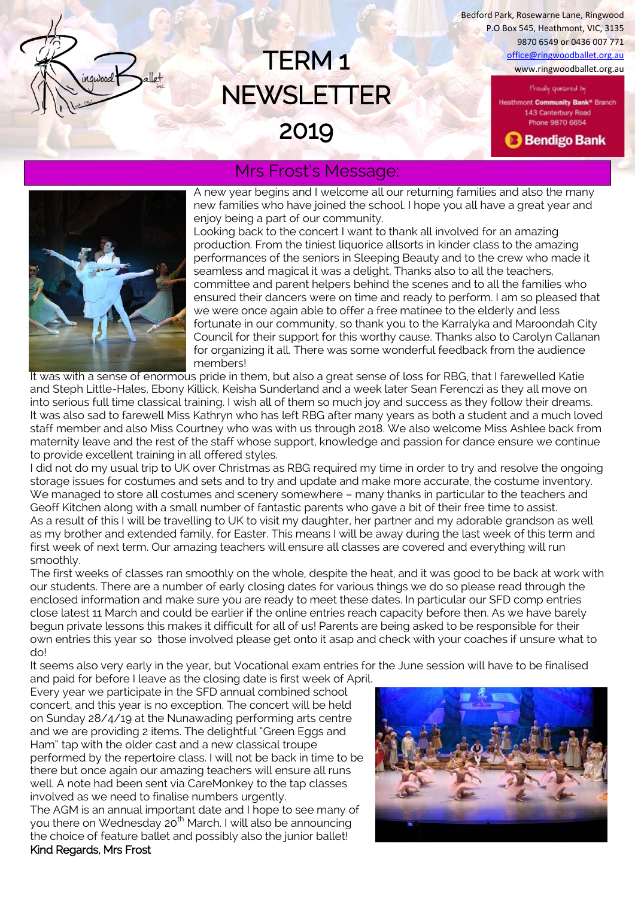TERM 1 www.ringwoodballet.org.au www.ringwoodballet.org.au Bedford Park, Rosewarne Lane, Ringwood P.O Box 545, Heathmont, VIC, 3135 9870 6549 or 0436 007 771

> Proudly sponsored by Heathmont Community Bank<sup>®</sup> Branch 143 Canterbury Road Phone 9870 6654

**B** Bendigo Bank



# Mrs Frost's Message:

**NEWSLETTER** 

2019

A new year begins and I welcome all our returning families and also the many new families who have joined the school. I hope you all have a great year and enjoy being a part of our community.

Looking back to the concert I want to thank all involved for an amazing production. From the tiniest liquorice allsorts in kinder class to the amazing performances of the seniors in Sleeping Beauty and to the crew who made it seamless and magical it was a delight. Thanks also to all the teachers, committee and parent helpers behind the scenes and to all the families who ensured their dancers were on time and ready to perform. I am so pleased that we were once again able to offer a free matinee to the elderly and less fortunate in our community, so thank you to the Karralyka and Maroondah City Council for their support for this worthy cause. Thanks also to Carolyn Callanan for organizing it all. There was some wonderful feedback from the audience members!

It was with a sense of enormous pride in them, but also a great sense of loss for RBG, that I farewelled Katie and Steph Little-Hales, Ebony Killick, Keisha Sunderland and a week later Sean Ferenczi as they all move on into serious full time classical training. I wish all of them so much joy and success as they follow their dreams. It was also sad to farewell Miss Kathryn who has left RBG after many years as both a student and a much loved staff member and also Miss Courtney who was with us through 2018. We also welcome Miss Ashlee back from maternity leave and the rest of the staff whose support, knowledge and passion for dance ensure we continue to provide excellent training in all offered styles.

I did not do my usual trip to UK over Christmas as RBG required my time in order to try and resolve the ongoing storage issues for costumes and sets and to try and update and make more accurate, the costume inventory. We managed to store all costumes and scenery somewhere – many thanks in particular to the teachers and Geoff Kitchen along with a small number of fantastic parents who gave a bit of their free time to assist. As a result of this I will be travelling to UK to visit my daughter, her partner and my adorable grandson as well as my brother and extended family, for Easter. This means I will be away during the last week of this term and first week of next term. Our amazing teachers will ensure all classes are covered and everything will run smoothly.

The first weeks of classes ran smoothly on the whole, despite the heat, and it was good to be back at work with our students. There are a number of early closing dates for various things we do so please read through the enclosed information and make sure you are ready to meet these dates. In particular our SFD comp entries close latest 11 March and could be earlier if the online entries reach capacity before then. As we have barely begun private lessons this makes it difficult for all of us! Parents are being asked to be responsible for their own entries this year so those involved please get onto it asap and check with your coaches if unsure what to do!

It seems also very early in the year, but Vocational exam entries for the June session will have to be finalised

and paid for before I leave as the closing date is first week of April. Every year we participate in the SFD annual combined school concert, and this year is no exception. The concert will be held on Sunday 28/4/19 at the Nunawading performing arts centre and we are providing 2 items. The delightful "Green Eggs and Ham" tap with the older cast and a new classical troupe performed by the repertoire class. I will not be back in time to be there but once again our amazing teachers will ensure all runs well. A note had been sent via CareMonkey to the tap classes involved as we need to finalise numbers urgently.

The AGM is an annual important date and I hope to see many of you there on Wednesday 20<sup>th</sup> March. I will also be announcing the choice of feature ballet and possibly also the junior ballet! Kind Regards, Mrs Frost

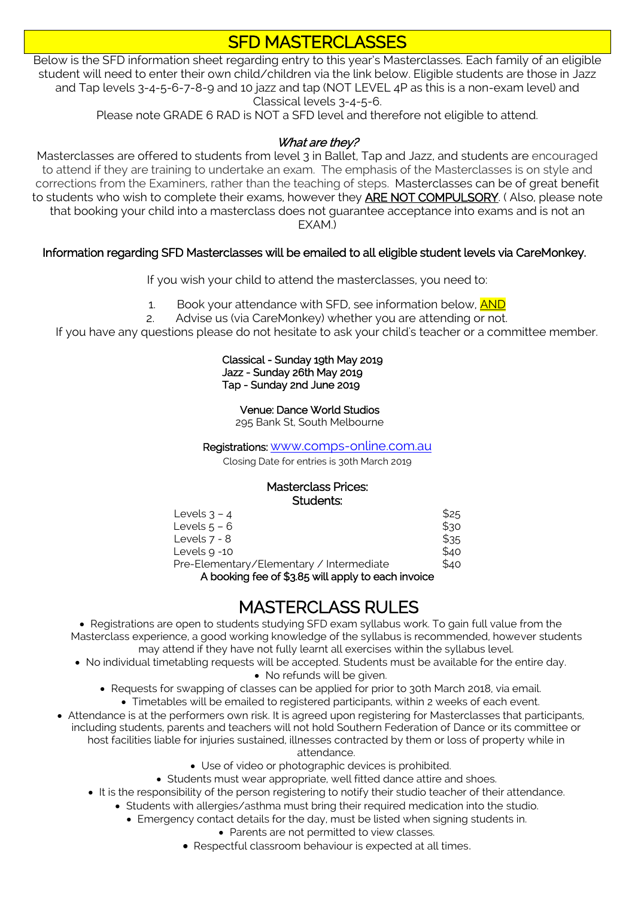# SFD MASTERCLASSES

Below is the SFD information sheet regarding entry to this year's Masterclasses. Each family of an eligible student will need to enter their own child/children via the link below. Eligible students are those in Jazz and Tap levels 3-4-5-6-7-8-9 and 10 jazz and tap (NOT LEVEL 4P as this is a non-exam level) and Classical levels 3-4-5-6.

Please note GRADE 6 RAD is NOT a SFD level and therefore not eligible to attend.

## What are they?

Masterclasses are offered to students from level 3 in Ballet, Tap and Jazz, and students are encouraged to attend if they are training to undertake an exam. The emphasis of the Masterclasses is on style and corrections from the Examiners, rather than the teaching of steps. Masterclasses can be of great benefit to students who wish to complete their exams, however they **ARE NOT COMPULSORY**. (Also, please note that booking your child into a masterclass does not guarantee acceptance into exams and is not an EXAM.)

#### Information regarding SFD Masterclasses will be emailed to all eligible student levels via CareMonkey.

If you wish your child to attend the masterclasses, you need to:

- 1. Book your attendance with SFD, see information below, **AND**
- 2. Advise us (via CareMonkey) whether you are attending or not.

If you have any questions please do not hesitate to ask your child's teacher or a committee member.

#### Classical - Sunday 19th May 2019 Jazz - Sunday 26th May 2019 Tap - Sunday 2nd June 2019

Venue: Dance World Studios

295 Bank St, South Melbourne

#### Registrations: [www.comps-online.com.au](http://www.comps-online.com.au/)

Closing Date for entries is 30th March 2019

#### Masterclass Prices: Students:

| Levels $3 - 4$                                             | \$25 |
|------------------------------------------------------------|------|
| Levels $5 - 6$                                             | \$30 |
| Levels $7 - 8$                                             | \$35 |
| Levels 9 -10                                               | \$40 |
| Pre-Elementary/Elementary / Intermediate                   | \$40 |
| $\Lambda$ booking foo of $42.8$ will apply to oach invoice |      |

A booking fee of \$3.85 will apply to each invoice

# MASTERCLASS RULES

 Registrations are open to students studying SFD exam syllabus work. To gain full value from the Masterclass experience, a good working knowledge of the syllabus is recommended, however students may attend if they have not fully learnt all exercises within the syllabus level.

- No individual timetabling requests will be accepted. Students must be available for the entire day. • No refunds will be given.
	- Requests for swapping of classes can be applied for prior to 30th March 2018, via email.
		- Timetables will be emailed to registered participants, within 2 weeks of each event.
- Attendance is at the performers own risk. It is agreed upon registering for Masterclasses that participants, including students, parents and teachers will not hold Southern Federation of Dance or its committee or host facilities liable for injuries sustained, illnesses contracted by them or loss of property while in
	- attendance.
	- Use of video or photographic devices is prohibited.
	- Students must wear appropriate, well fitted dance attire and shoes.
	- It is the responsibility of the person registering to notify their studio teacher of their attendance.
		- Students with allergies/asthma must bring their required medication into the studio.
			- Emergency contact details for the day, must be listed when signing students in.
				- Parents are not permitted to view classes.
				- Respectful classroom behaviour is expected at all times.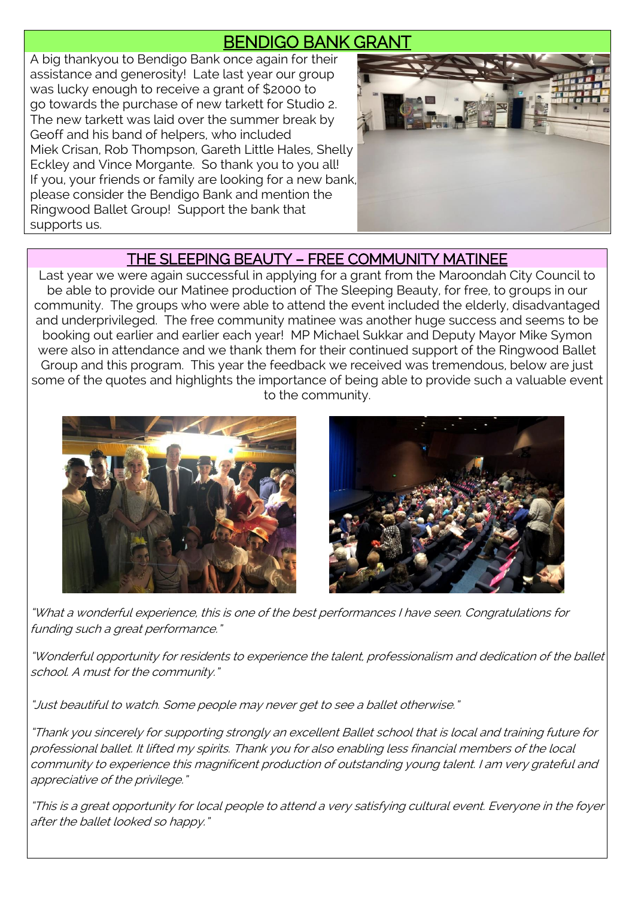# BENDIGO BANK GRANT

A big thankyou to Bendigo Bank once again for their assistance and generosity! Late last year our group was lucky enough to receive a grant of \$2000 to go towards the purchase of new tarkett for Studio 2. The new tarkett was laid over the summer break by Geoff and his band of helpers, who included Miek Crisan, Rob Thompson, Gareth Little Hales, Shelly Eckley and Vince Morgante. So thank you to you all! If you, your friends or family are looking for a new bank, please consider the Bendigo Bank and mention the Ringwood Ballet Group! Support the bank that supports us.



## THE SLEEPING BEAUTY – FREE COMMUNITY MATINEE

Last year we were again successful in applying for a grant from the Maroondah City Council to be able to provide our Matinee production of The Sleeping Beauty, for free, to groups in our community. The groups who were able to attend the event included the elderly, disadvantaged and underprivileged. The free community matinee was another huge success and seems to be booking out earlier and earlier each year! MP Michael Sukkar and Deputy Mayor Mike Symon were also in attendance and we thank them for their continued support of the Ringwood Ballet Group and this program. This year the feedback we received was tremendous, below are just some of the quotes and highlights the importance of being able to provide such a valuable event to the community.





"What a wonderful experience, this is one of the best performances I have seen. Congratulations for funding such a great performance."

"Wonderful opportunity for residents to experience the talent, professionalism and dedication of the ballet school. A must for the community."

"Just beautiful to watch. Some people may never get to see a ballet otherwise."

"Thank you sincerely for supporting strongly an excellent Ballet school that is local and training future for professional ballet. It lifted my spirits. Thank you for also enabling less financial members of the local community to experience this magnificent production of outstanding young talent. I am very grateful and appreciative of the privilege."

"This is a great opportunity for local people to attend a very satisfying cultural event. Everyone in the foyer after the ballet looked so happy."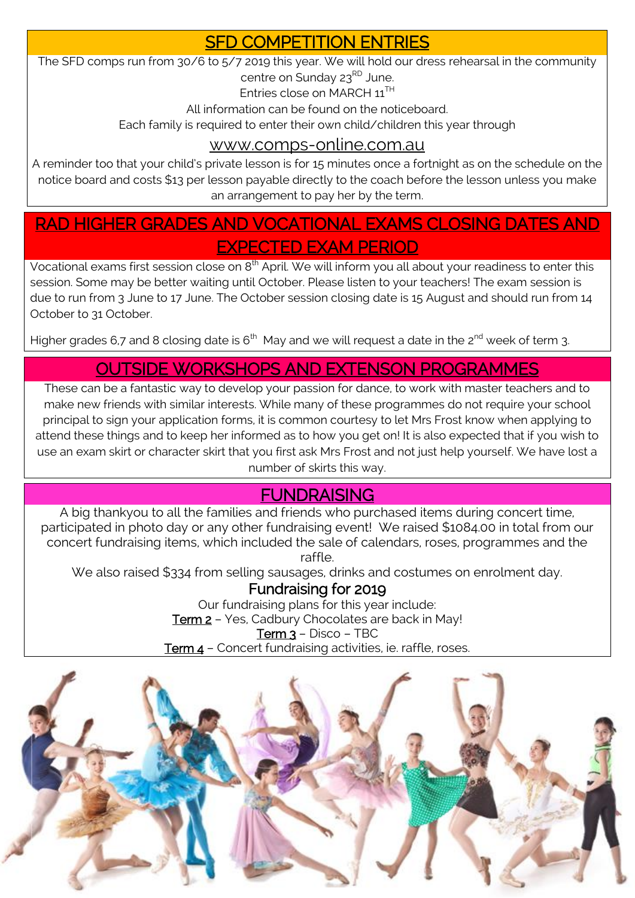## SFD COMPETITION ENTRIES

The SFD comps run from 30/6 to 5/7 2019 this year. We will hold our dress rehearsal in the community centre on Sunday 23<sup>RD</sup> June.

Entries close on MARCH 11TH

All information can be found on the noticeboard.

Each family is required to enter their own child/children this year through

## [www.comps-online.com.au](http://www.comps-online.com.au/)

A reminder too that your child's private lesson is for 15 minutes once a fortnight as on the schedule on the notice board and costs \$13 per lesson payable directly to the coach before the lesson unless you make an arrangement to pay her by the term.

# RAD HIGHER GRADES AND VOCATIONAL EXAMS CLOSING DATES AND EXPECTED EXAM PERIOD

Vocational exams first session close on 8<sup>th</sup> April. We will inform you all about your readiness to enter this session. Some may be better waiting until October. Please listen to your teachers! The exam session is due to run from 3 June to 17 June. The October session closing date is 15 August and should run from 14 October to 31 October.

Higher grades 6,7 and 8 closing date is 6<sup>th</sup> May and we will request a date in the 2<sup>nd</sup> week of term 3.

# OUTSIDE WORKSHOPS AND EXTENSON PROGRAMMES

These can be a fantastic way to develop your passion for dance, to work with master teachers and to make new friends with similar interests. While many of these programmes do not require your school principal to sign your application forms, it is common courtesy to let Mrs Frost know when applying to attend these things and to keep her informed as to how you get on! It is also expected that if you wish to use an exam skirt or character skirt that you first ask Mrs Frost and not just help yourself. We have lost a number of skirts this way.

# FUNDRAISING

A big thankyou to all the families and friends who purchased items during concert time, participated in photo day or any other fundraising event! We raised \$1084.00 in total from our concert fundraising items, which included the sale of calendars, roses, programmes and the raffle.

We also raised \$334 from selling sausages, drinks and costumes on enrolment day.

## Fundraising for 2019

Our fundraising plans for this year include: Term 2 - Yes, Cadbury Chocolates are back in May! Term 3 - Disco - TBC Term 4 - Concert fundraising activities, ie. raffle, roses.

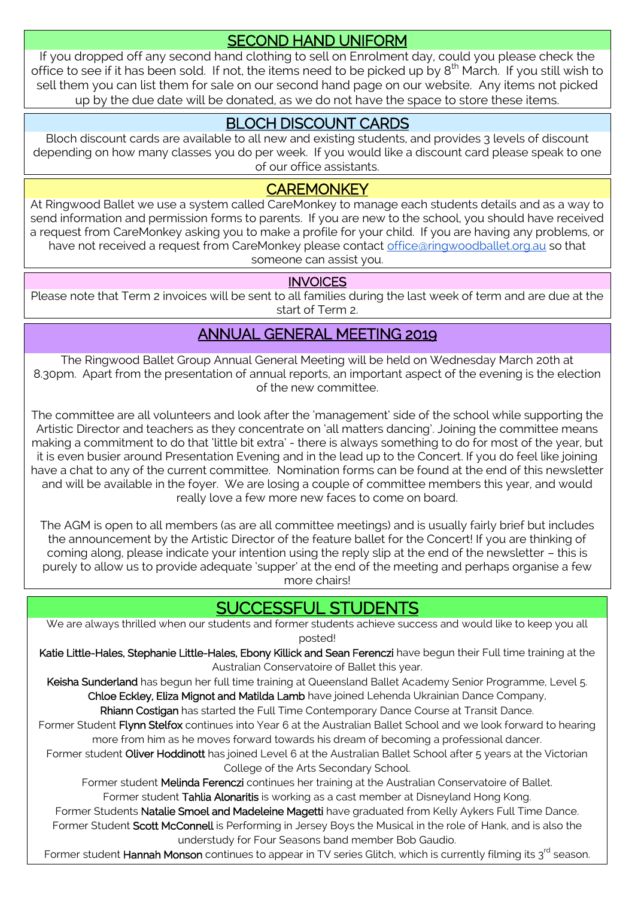## SECOND HAND UNIFORM

If you dropped off any second hand clothing to sell on Enrolment day, could you please check the office to see if it has been sold. If not, the items need to be picked up by 8<sup>th</sup> March. If you still wish to sell them you can list them for sale on our second hand page on our website. Any items not picked up by the due date will be donated, as we do not have the space to store these items.

## BLOCH DISCOUNT CARDS

Bloch discount cards are available to all new and existing students, and provides 3 levels of discount depending on how many classes you do per week. If you would like a discount card please speak to one of our office assistants.

## **CAREMONKEY**

At Ringwood Ballet we use a system called CareMonkey to manage each students details and as a way to send information and permission forms to parents. If you are new to the school, you should have received a request from CareMonkey asking you to make a profile for your child. If you are having any problems, or have not received a request from CareMonkey please contact [office@ringwoodballet.org.au](mailto:office@ringwoodballet.org.au) so that someone can assist you.

## **INVOICES**

Please note that Term 2 invoices will be sent to all families during the last week of term and are due at the start of Term 2.

## ANNUAL GENERAL MEETING 2019

The Ringwood Ballet Group Annual General Meeting will be held on Wednesday March 20th at 8.30pm. Apart from the presentation of annual reports, an important aspect of the evening is the election of the new committee.

The committee are all volunteers and look after the 'management' side of the school while supporting the Artistic Director and teachers as they concentrate on 'all matters dancing'. Joining the committee means making a commitment to do that 'little bit extra' - there is always something to do for most of the year, but it is even busier around Presentation Evening and in the lead up to the Concert. If you do feel like joining have a chat to any of the current committee. Nomination forms can be found at the end of this newsletter and will be available in the foyer. We are losing a couple of committee members this year, and would really love a few more new faces to come on board.

The AGM is open to all members (as are all committee meetings) and is usually fairly brief but includes the announcement by the Artistic Director of the feature ballet for the Concert! If you are thinking of coming along, please indicate your intention using the reply slip at the end of the newsletter – this is purely to allow us to provide adequate 'supper' at the end of the meeting and perhaps organise a few more chairs!

# JCCESSFUL STUDENTS

We are always thrilled when our students and former students achieve success and would like to keep you all posted!

Katie Little-Hales, Stephanie Little-Hales, Ebony Killick and Sean Ferenczi have begun their Full time training at the Australian Conservatoire of Ballet this year.

Keisha Sunderland has begun her full time training at Queensland Ballet Academy Senior Programme, Level 5. Chloe Eckley, Eliza Mignot and Matilda Lamb have joined Lehenda Ukrainian Dance Company,

Rhiann Costigan has started the Full Time Contemporary Dance Course at Transit Dance.

Former Student Flynn Stelfox continues into Year 6 at the Australian Ballet School and we look forward to hearing more from him as he moves forward towards his dream of becoming a professional dancer.

Former student Oliver Hoddinott has joined Level 6 at the Australian Ballet School after 5 years at the Victorian College of the Arts Secondary School.

Former student Melinda Ferenczi continues her training at the Australian Conservatoire of Ballet. Former student Tahlia Alonaritis is working as a cast member at Disneyland Hong Kong.

Former Students Natalie Smoel and Madeleine Magetti have graduated from Kelly Aykers Full Time Dance. Former Student Scott McConnell is Performing in Jersey Boys the Musical in the role of Hank, and is also the understudy for Four Seasons band member Bob Gaudio.

Former student Hannah Monson continues to appear in TV series Glitch, which is currently filming its  $3^{\text{rd}}$  season.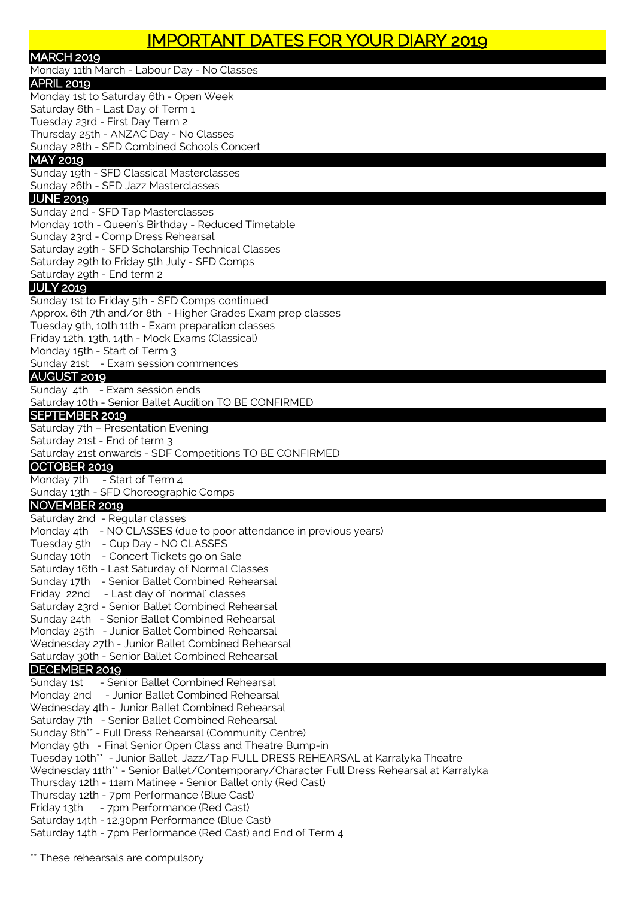Monday 11th March - Labour Day - No Classes

## APRIL 2019

Monday 1st to Saturday 6th - Open Week Saturday 6th - Last Day of Term 1 Tuesday 23rd - First Day Term 2 Thursday 25th - ANZAC Day - No Classes Sunday 28th - SFD Combined Schools Concert

## MAY 2019

Sunday 19th - SFD Classical Masterclasses Sunday 26th - SFD Jazz Masterclasses

#### JUNE 2019

Sunday 2nd - SFD Tap Masterclasses Monday 10th - Queen's Birthday - Reduced Timetable Sunday 23rd - Comp Dress Rehearsal Saturday 29th - SFD Scholarship Technical Classes Saturday 29th to Friday 5th July - SFD Comps Saturday 29th - End term 2

#### JULY 2019

Sunday 1st to Friday 5th - SFD Comps continued Approx. 6th 7th and/or 8th - Higher Grades Exam prep classes Tuesday 9th, 10th 11th - Exam preparation classes Friday 12th, 13th, 14th - Mock Exams (Classical) Monday 15th - Start of Term 3 Sunday 21st - Exam session commences

#### AUGUST 2019

Sunday 4th - Exam session ends

Saturday 10th - Senior Ballet Audition TO BE CONFIRMED

#### SEPTEMBER 2019

Saturday 7th – Presentation Evening

Saturday 21st - End of term 3

Saturday 21st onwards - SDF Competitions TO BE CONFIRMED

### OCTOBER 2019

Monday 7th - Start of Term 4 Sunday 13th - SFD Choreographic Comps

### NOVEMBER 2019

Saturday 2nd - Regular classes Monday 4th - NO CLASSES (due to poor attendance in previous years)

Tuesday 5th - Cup Day - NO CLASSES

Sunday 10th - Concert Tickets go on Sale

- Saturday 16th Last Saturday of Normal Classes Sunday 17th - Senior Ballet Combined Rehearsal
- Friday 22nd Last day of 'normal' classes
- 
- Saturday 23rd Senior Ballet Combined Rehearsal
- Sunday 24th Senior Ballet Combined Rehearsal
- Monday 25th Junior Ballet Combined Rehearsal
- Wednesday 27th Junior Ballet Combined Rehearsal

Saturday 30th - Senior Ballet Combined Rehearsal

## DECEMBER 2019

Sunday 1st - Senior Ballet Combined Rehearsal Monday 2nd - Junior Ballet Combined Rehearsal Wednesday 4th - Junior Ballet Combined Rehearsal Saturday 7th - Senior Ballet Combined Rehearsal Sunday 8th\*\* - Full Dress Rehearsal (Community Centre) Monday 9th - Final Senior Open Class and Theatre Bump-in Tuesday 10th\*\* - Junior Ballet, Jazz/Tap FULL DRESS REHEARSAL at Karralyka Theatre Wednesday 11th\*\* - Senior Ballet/Contemporary/Character Full Dress Rehearsal at Karralyka Thursday 12th - 11am Matinee - Senior Ballet only (Red Cast) Thursday 12th - 7pm Performance (Blue Cast) Friday 13th - 7pm Performance (Red Cast) Saturday 14th - 12.30pm Performance (Blue Cast) Saturday 14th - 7pm Performance (Red Cast) and End of Term 4